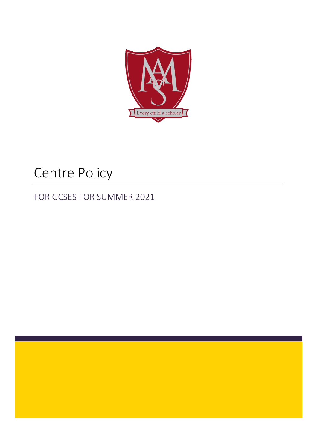

# Centre Policy

# FOR GCSES FOR SUMMER 2021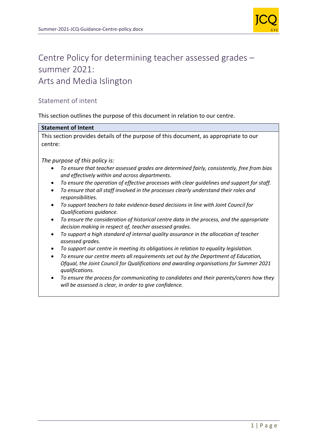

## Centre Policy for determining teacher assessed grades – summer 2021: Arts and Media Islington

## Statement of intent

This section outlines the purpose of this document in relation to our centre.

#### **Statement of Intent**

This section provides details of the purpose of this document, as appropriate to our centre:

*The purpose of this policy is:*

- *To ensure that teacher assessed grades are determined fairly, consistently, free from bias and effectively within and across departments.*
- *To ensure the operation of effective processes with clear guidelines and support for staff.*
- *To ensure that all staff involved in the processes clearly understand their roles and responsibilities.*
- *To support teachers to take evidence-based decisions in line with Joint Council for Qualifications guidance.*
- *To ensure the consideration of historical centre data in the process, and the appropriate decision making in respect of, teacher assessed grades.*
- *To support a high standard of internal quality assurance in the allocation of teacher assessed grades.*
- *To support our centre in meeting its obligations in relation to equality legislation.*
- *To ensure our centre meets all requirements set out by the Department of Education, Ofqual, the Joint Council for Qualifications and awarding organisations for Summer 2021 qualifications.*
- *To ensure the process for communicating to candidates and their parents/carers how they will be assessed is clear, in order to give confidence.*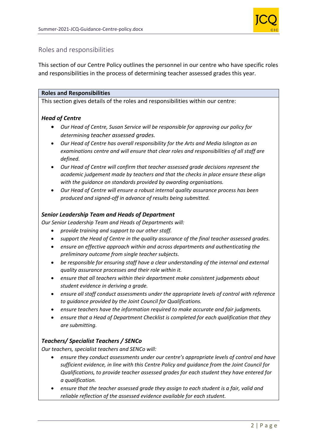

## Roles and responsibilities

This section of our Centre Policy outlines the personnel in our centre who have specific roles and responsibilities in the process of determining teacher assessed grades this year.

#### **Roles and Responsibilities**

This section gives details of the roles and responsibilities within our centre:

#### *Head of Centre*

- *Our Head of Centre, Susan Service will be responsible for approving our policy for determining teacher assessed grades.*
- *Our Head of Centre has overall responsibility for the Arts and Media Islington as an examinations centre and will ensure that clear roles and responsibilities of all staff are defined.*
- *Our Head of Centre will confirm that teacher assessed grade decisions represent the academic judgement made by teachers and that the checks in place ensure these align with the guidance on standards provided by awarding organisations.*
- *Our Head of Centre will ensure a robust internal quality assurance process has been produced and signed-off in advance of results being submitted.*

#### *Senior Leadership Team and Heads of Department*

*Our Senior Leadership Team and Heads of Departments will:*

- *provide training and support to our other staff.*
- *support the Head of Centre in the quality assurance of the final teacher assessed grades.*
- *ensure an effective approach within and across departments and authenticating the preliminary outcome from single teacher subjects.*
- *be responsible for ensuring staff have a clear understanding of the internal and external quality assurance processes and their role within it.*
- *ensure that all teachers within their department make consistent judgements about student evidence in deriving a grade.*
- *ensure all staff conduct assessments under the appropriate levels of control with reference to guidance provided by the Joint Council for Qualifications.*
- *ensure teachers have the information required to make accurate and fair judgments.*
- *ensure that a Head of Department Checklist is completed for each qualification that they are submitting.*

## *Teachers/ Specialist Teachers / SENCo*

*Our teachers, specialist teachers and SENCo will:*

- *ensure they conduct assessments under our centre's appropriate levels of control and have sufficient evidence, in line with this Centre Policy and guidance from the Joint Council for Qualifications, to provide teacher assessed grades for each student they have entered for a qualification.*
- *ensure that the teacher assessed grade they assign to each student is a fair, valid and reliable reflection of the assessed evidence available for each student.*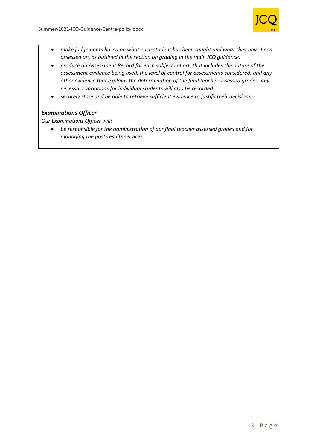

- *make judgements based on what each student has been taught and what they have been assessed on, as outlined in the section on grading in the main JCQ guidance.*
- *produce an Assessment Record for each subject cohort, that includes the nature of the assessment evidence being used, the level of control for assessments considered, and any other evidence that explains the determination of the final teacher assessed grades. Any necessary variations for individual students will also be recorded.*
- *securely store and be able to retrieve sufficient evidence to justify their decisions.*

## *Examinations Officer*

*Our Examinations Officer will:*

• *be responsible for the administration of our final teacher assessed grades and for managing the post-results services.*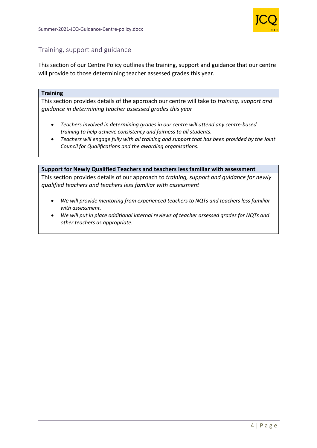

## Training, support and guidance

This section of our Centre Policy outlines the training, support and guidance that our centre will provide to those determining teacher assessed grades this year.

#### **Training**

This section provides details of the approach our centre will take to *training, support and guidance in determining teacher assessed grades this year*

- *Teachers involved in determining grades in our centre will attend any centre-based training to help achieve consistency and fairness to all students.*
- *Teachers will engage fully with all training and support that has been provided by the Joint Council for Qualifications and the awarding organisations.*

#### **Support for Newly Qualified Teachers and teachers less familiar with assessment**

This section provides details of our approach to *training, support and guidance for newly qualified teachers and teachers less familiar with assessment*

- *We will provide mentoring from experienced teachers to NQTs and teachers less familiar with assessment.*
- *We will put in place additional internal reviews of teacher assessed grades for NQTs and other teachers as appropriate.*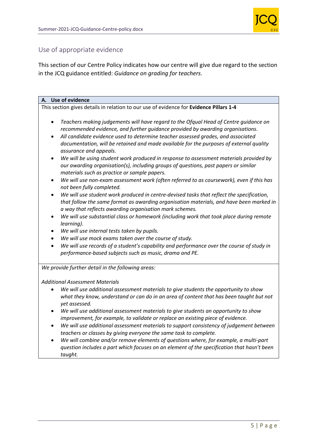

## Use of appropriate evidence

This section of our Centre Policy indicates how our centre will give due regard to the section in the JCQ guidance entitled: *Guidance on grading for teachers*.

| A. Use of evidence                                                                                                                                                                                                                                           |
|--------------------------------------------------------------------------------------------------------------------------------------------------------------------------------------------------------------------------------------------------------------|
| This section gives details in relation to our use of evidence for Evidence Pillars 1-4                                                                                                                                                                       |
| Teachers making judgements will have regard to the Ofqual Head of Centre guidance on<br>$\bullet$<br>recommended evidence, and further guidance provided by awarding organisations.                                                                          |
| All candidate evidence used to determine teacher assessed grades, and associated<br>$\bullet$<br>documentation, will be retained and made available for the purposes of external quality<br>assurance and appeals.                                           |
| We will be using student work produced in response to assessment materials provided by<br>$\bullet$<br>our awarding organisation(s), including groups of questions, past papers or similar<br>materials such as practice or sample papers.                   |
| We will use non-exam assessment work (often referred to as coursework), even if this has<br>$\bullet$<br>not been fully completed.                                                                                                                           |
| We will use student work produced in centre-devised tasks that reflect the specification,<br>$\bullet$<br>that follow the same format as awarding organisation materials, and have been marked in<br>a way that reflects awarding organisation mark schemes. |
| We will use substantial class or homework (including work that took place during remote<br>٠<br>learning).                                                                                                                                                   |
| We will use internal tests taken by pupils.                                                                                                                                                                                                                  |
| We will use mock exams taken over the course of study.<br>$\bullet$                                                                                                                                                                                          |
| We will use records of a student's capability and performance over the course of study in<br>$\bullet$<br>performance-based subjects such as music, drama and PE.                                                                                            |
| We provide further detail in the following areas:                                                                                                                                                                                                            |
| <b>Additional Assessment Materials</b>                                                                                                                                                                                                                       |
| We will use additional assessment materials to give students the opportunity to show<br>what they know, understand or can do in an area of content that has been taught but not<br>yet assessed.                                                             |
| We will use additional assessment materials to give students an opportunity to show<br>improvement, for example, to validate or replace an existing piece of evidence.                                                                                       |
| We will use additional assessment materials to support consistency of judgement between<br>teachers or classes by giving everyone the same task to complete.                                                                                                 |
| We will combine and/or remove elements of questions where, for example, a multi-part<br>question includes a part which focuses on an element of the specification that hasn't been<br>taught.                                                                |
|                                                                                                                                                                                                                                                              |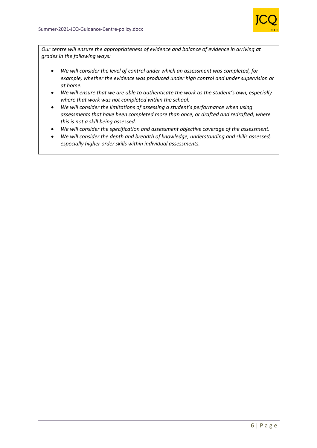

*Our centre will ensure the appropriateness of evidence and balance of evidence in arriving at grades in the following ways:*

- *We will consider the level of control under which an assessment was completed, for example, whether the evidence was produced under high control and under supervision or at home.*
- *We will ensure that we are able to authenticate the work as the student's own, especially where that work was not completed within the school.*
- *We will consider the limitations of assessing a student's performance when using assessments that have been completed more than once, or drafted and redrafted, where this is not a skill being assessed.*
- *We will consider the specification and assessment objective coverage of the assessment.*
- *We will consider the depth and breadth of knowledge, understanding and skills assessed, especially higher order skills within individual assessments.*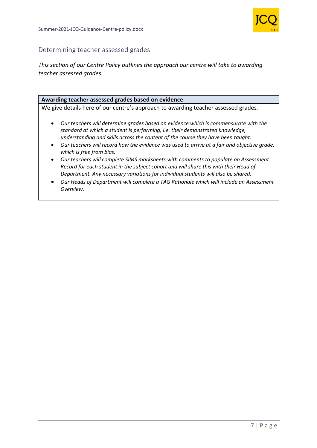

## Determining teacher assessed grades

*This section of our Centre Policy outlines the approach our centre will take to awarding teacher assessed grades.*

#### **Awarding teacher assessed grades based on evidence**

We give details here of our centre's approach to awarding teacher assessed grades*.*

- *Our teachers will determine grades based on evidence which is commensurate with the standard at which a student is performing, i.e. their demonstrated knowledge, understanding and skills across the content of the course they have been taught.*
- *Our teachers will record how the evidence was used to arrive at a fair and objective grade, which is free from bias.*
- *Our teachers will complete SIMS marksheets with comments to populate an Assessment Record for each student in the subject cohort and will share this with their Head of Department. Any necessary variations for individual students will also be shared.*
- *Our Heads of Department will complete a TAG Rationale which will include an Assessment Overview.*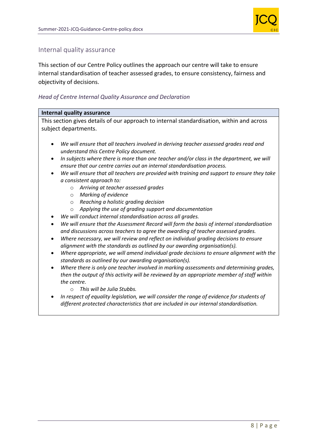

## Internal quality assurance

This section of our Centre Policy outlines the approach our centre will take to ensure internal standardisation of teacher assessed grades, to ensure consistency, fairness and objectivity of decisions.

#### *Head of Centre Internal Quality Assurance and Declaration*

#### **Internal quality assurance**

This section gives details of our approach to internal standardisation, within and across subject departments.

- *We will ensure that all teachers involved in deriving teacher assessed grades read and understand this Centre Policy document.*
- *In subjects where there is more than one teacher and/or class in the department, we will ensure that our centre carries out an internal standardisation process.*
- *We will ensure that all teachers are provided with training and support to ensure they take a consistent approach to:*
	- o *Arriving at teacher assessed grades*
	- o *Marking of evidence*
	- o *Reaching a holistic grading decision*
	- o *Applying the use of grading support and documentation*
- *We will conduct internal standardisation across all grades.*
- *We will ensure that the Assessment Record will form the basis of internal standardisation and discussions across teachers to agree the awarding of teacher assessed grades.*
- *Where necessary, we will review and reflect on individual grading decisions to ensure alignment with the standards as outlined by our awarding organisation(s).*
- *Where appropriate, we will amend individual grade decisions to ensure alignment with the standards as outlined by our awarding organisation(s).*
- *Where there is only one teacher involved in marking assessments and determining grades, then the output of this activity will be reviewed by an appropriate member of staff within the centre.*
	- o *This will be Julia Stubbs.*
- *In respect of equality legislation, we will consider the range of evidence for students of different protected characteristics that are included in our internal standardisation.*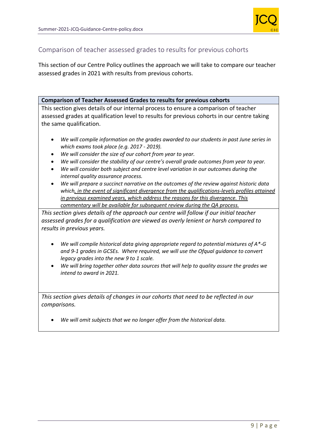

## Comparison of teacher assessed grades to results for previous cohorts

This section of our Centre Policy outlines the approach we will take to compare our teacher assessed grades in 2021 with results from previous cohorts.

#### **Comparison of Teacher Assessed Grades to results for previous cohorts**

This section gives details of our internal process to ensure a comparison of teacher assessed grades at qualification level to results for previous cohorts in our centre taking the same qualification.

- *We will compile information on the grades awarded to our students in past June series in which exams took place (e.g. 2017 - 2019).*
- *We will consider the size of our cohort from year to year.*
- *We will consider the stability of our centre's overall grade outcomes from year to year.*
- *We will consider both subject and centre level variation in our outcomes during the internal quality assurance process.*
- *We will prepare a succinct narrative on the outcomes of the review against historic data which, in the event of significant divergence from the qualifications-levels profiles attained in previous examined years, which address the reasons for this divergence. This commentary will be available for subsequent review during the QA process.*

*This section gives details of the approach our centre will follow if our initial teacher assessed grades for a qualification are viewed as overly lenient or harsh compared to results in previous years.*

- *We will compile historical data giving appropriate regard to potential mixtures of A\*-G and 9-1 grades in GCSEs. Where required, we will use the Ofqual guidance to convert legacy grades into the new 9 to 1 scale.*
- *We will bring together other data sources that will help to quality assure the grades we intend to award in 2021.*

*This section gives details of changes in our cohorts that need to be reflected in our comparisons.* 

• *We will omit subjects that we no longer offer from the historical data.*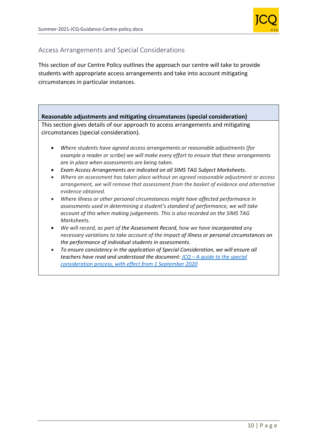

## Access Arrangements and Special Considerations

This section of our Centre Policy outlines the approach our centre will take to provide students with appropriate access arrangements and take into account mitigating circumstances in particular instances.

## **Reasonable adjustments and mitigating circumstances (special consideration)**

This section gives details of our approach to access arrangements and mitigating circumstances (special consideration).

- *Where students have agreed access arrangements or reasonable adjustments (for example a reader or scribe) we will make every effort to ensure that these arrangements are in place when assessments are being taken.*
- *Exam Access Arrangements are indicated on all SIMS TAG Subject Marksheets.*
- *Where an assessment has taken place without an agreed reasonable adjustment or access arrangement, we will remove that assessment from the basket of evidence and alternative evidence obtained.*
- *Where illness or other personal circumstances might have affected performance in assessments used in determining a student's standard of performance, we will take account of this when making judgements. This is also recorded on the SIMS TAG Marksheets.*
- *We will record, as part of the Assessment Record, how we have incorporated any necessary variations to take account of the impact of illness or personal circumstances on the performance of individual students in assessments.*
- *To ensure consistency in the application of Special Consideration, we will ensure all teachers have read and understood the document: JCQ – A guide to the special consideration process, with effect from 1 September 2020*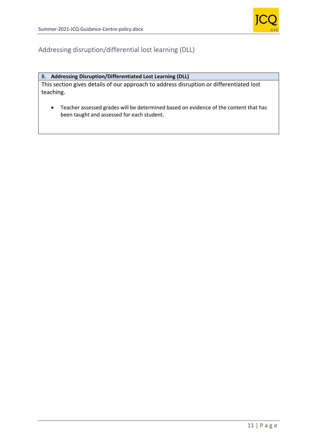

## Addressing disruption/differential lost learning (DLL)

#### B. **Addressing Disruption/Differentiated Lost Learning (DLL)**

This section gives details of our approach to address disruption or differentiated lost teaching.

• Teacher assessed grades will be determined based on evidence of the content that has been taught and assessed for each student.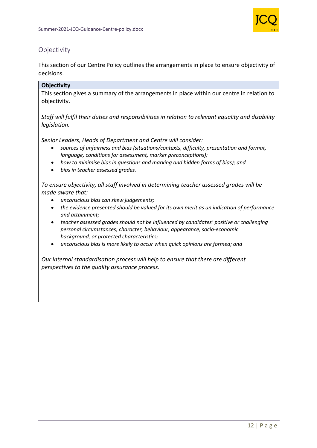

## **Objectivity**

This section of our Centre Policy outlines the arrangements in place to ensure objectivity of decisions.

## **Objectivity**

This section gives a summary of the arrangements in place within our centre in relation to objectivity.

*Staff will fulfil their duties and responsibilities in relation to relevant equality and disability legislation.*

*Senior Leaders, Heads of Department and Centre will consider:*

- *sources of unfairness and bias (situations/contexts, difficulty, presentation and format, language, conditions for assessment, marker preconceptions);*
- *how to minimise bias in questions and marking and hidden forms of bias); and*
- *bias in teacher assessed grades.*

*To ensure objectivity, all staff involved in determining teacher assessed grades will be made aware that:*

- *unconscious bias can skew judgements;*
- *the evidence presented should be valued for its own merit as an indication of performance and attainment;*
- *teacher assessed grades should not be influenced by candidates' positive or challenging personal circumstances, character, behaviour, appearance, socio-economic background, or protected characteristics;*
- *unconscious bias is more likely to occur when quick opinions are formed; and*

*Our internal standardisation process will help to ensure that there are different perspectives to the quality assurance process.*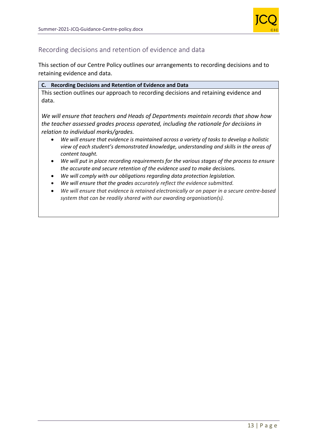

## Recording decisions and retention of evidence and data

This section of our Centre Policy outlines our arrangements to recording decisions and to retaining evidence and data.

#### **C. Recording Decisions and Retention of Evidence and Data**

This section outlines our approach to recording decisions and retaining evidence and data.

*We will ensure that teachers and Heads of Departments maintain records that show how the teacher assessed grades process operated, including the rationale for decisions in relation to individual marks/grades.* 

- *We will ensure that evidence is maintained across a variety of tasks to develop a holistic view of each student's demonstrated knowledge, understanding and skills in the areas of content taught.*
- *We will put in place recording requirements for the various stages of the process to ensure the accurate and secure retention of the evidence used to make decisions.*
- *We will comply with our obligations regarding data protection legislation.*
- *We will ensure that the grades accurately reflect the evidence submitted.*
- *We will ensure that evidence is retained electronically or on paper in a secure centre-based system that can be readily shared with our awarding organisation(s).*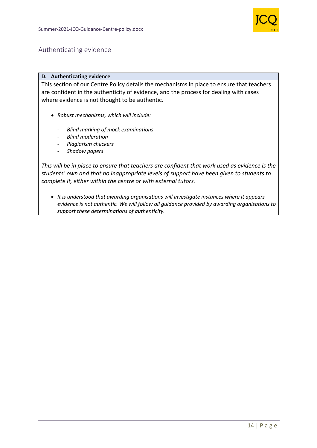

## Authenticating evidence

#### **D. Authenticating evidence**

This section of our Centre Policy details the mechanisms in place to ensure that teachers are confident in the authenticity of evidence, and the process for dealing with cases where evidence is not thought to be authentic.

- *Robust mechanisms, which will include:*
	- *Blind marking of mock examinations*
	- *Blind moderation*
	- *Plagiarism checkers*
	- *Shadow papers*

*This will be in place to ensure that teachers are confident that work used as evidence is the students' own and that no inappropriate levels of support have been given to students to complete it, either within the centre or with external tutors.* 

• *It is understood that awarding organisations will investigate instances where it appears evidence is not authentic. We will follow all guidance provided by awarding organisations to support these determinations of authenticity.*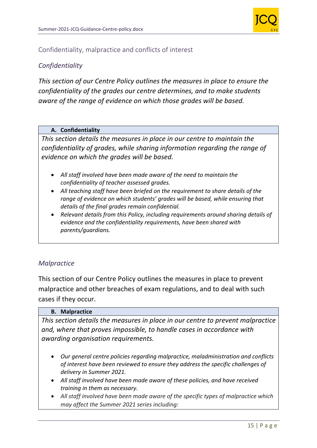

## Confidentiality, malpractice and conflicts of interest

## *Confidentiality*

*This section of our Centre Policy outlines the measures in place to ensure the confidentiality of the grades our centre determines, and to make students aware of the range of evidence on which those grades will be based.*

#### **A. Confidentiality**

*This section details the measures in place in our centre to maintain the confidentiality of grades, while sharing information regarding the range of evidence on which the grades will be based.* 

- *All staff involved have been made aware of the need to maintain the confidentiality of teacher assessed grades.*
- *All teaching staff have been briefed on the requirement to share details of the range of evidence on which students' grades will be based, while ensuring that details of the final grades remain confidential.*
- *Relevant details from this Policy, including requirements around sharing details of evidence and the confidentiality requirements, have been shared with parents/guardians.*

## *Malpractice*

This section of our Centre Policy outlines the measures in place to prevent malpractice and other breaches of exam regulations, and to deal with such cases if they occur.

#### **B. Malpractice**

*This section details the measures in place in our centre to prevent malpractice and, where that proves impossible, to handle cases in accordance with awarding organisation requirements.*

- *Our general centre policies regarding malpractice, maladministration and conflicts of interest have been reviewed to ensure they address the specific challenges of delivery in Summer 2021.*
- *All staff involved have been made aware of these policies, and have received training in them as necessary.*
- *All staff involved have been made aware of the specific types of malpractice which may affect the Summer 2021 series including:*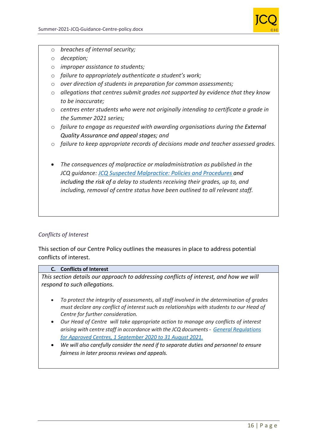

- o *breaches of internal security;*
- o *deception;*
- o *improper assistance to students;*
- o *failure to appropriately authenticate a student's work;*
- o *over direction of students in preparation for common assessments;*
- o *allegations that centres submit grades not supported by evidence that they know to be inaccurate;*
- o *centres enter students who were not originally intending to certificate a grade in the Summer 2021 series;*
- o *failure to engage as requested with awarding organisations during the External Quality Assurance and appeal stages; and*
- o *failure to keep appropriate records of decisions made and teacher assessed grades.*
- *The consequences of malpractice or maladministration as published in the JCQ guidance: JCQ Suspected Malpractice: Policies and Procedures and including the risk of a delay to students receiving their grades, up to, and including, removal of centre status have been outlined to all relevant staff.*

## *Conflicts of Interest*

This section of our Centre Policy outlines the measures in place to address potential conflicts of interest.

#### **C. Conflicts of Interest**

*This section details our approach to addressing conflicts of interest, and how we will respond to such allegations.* 

- *To protect the integrity of assessments, all staff involved in the determination of grades must declare any conflict of interest such as relationships with students to our Head of Centre for further consideration.*
- *Our Head of Centre will take appropriate action to manage any conflicts of interest arising with centre staff in accordance with the JCQ documents - General Regulations for Approved Centres, 1 September 2020 to 31 August 2021.*
- *We will also carefully consider the need if to separate duties and personnel to ensure fairness in later process reviews and appeals.*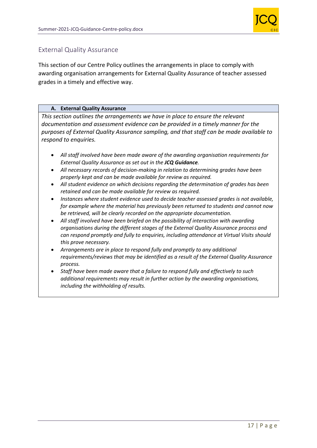

## External Quality Assurance

This section of our Centre Policy outlines the arrangements in place to comply with awarding organisation arrangements for External Quality Assurance of teacher assessed grades in a timely and effective way.

#### **A. External Quality Assurance**

*This section outlines the arrangements we have in place to ensure the relevant documentation and assessment evidence can be provided in a timely manner for the purposes of External Quality Assurance sampling, and that staff can be made available to respond to enquiries.* 

- *All staff involved have been made aware of the awarding organisation requirements for External Quality Assurance as set out in the JCQ Guidance.*
- *All necessary records of decision-making in relation to determining grades have been properly kept and can be made available for review as required.*
- *All student evidence on which decisions regarding the determination of grades has been retained and can be made available for review as required.*
- *Instances where student evidence used to decide teacher assessed grades is not available, for example where the material has previously been returned to students and cannot now be retrieved, will be clearly recorded on the appropriate documentation.*
- *All staff involved have been briefed on the possibility of interaction with awarding organisations during the different stages of the External Quality Assurance process and can respond promptly and fully to enquiries, including attendance at Virtual Visits should this prove necessary.*
- *Arrangements are in place to respond fully and promptly to any additional requirements/reviews that may be identified as a result of the External Quality Assurance process.*
- *Staff have been made aware that a failure to respond fully and effectively to such additional requirements may result in further action by the awarding organisations, including the withholding of results.*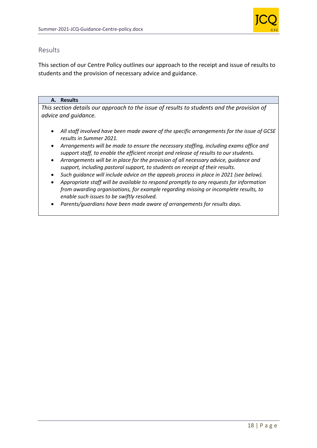

## Results

This section of our Centre Policy outlines our approach to the receipt and issue of results to students and the provision of necessary advice and guidance.

#### **A. Results**

*This section details our approach to the issue of results to students and the provision of advice and guidance.* 

- *All staff involved have been made aware of the specific arrangements for the issue of GCSE results in Summer 2021.*
- *Arrangements will be made to ensure the necessary staffing, including exams office and support staff, to enable the efficient receipt and release of results to our students.*
- *Arrangements will be in place for the provision of all necessary advice, guidance and support, including pastoral support, to students on receipt of their results.*
- *Such guidance will include advice on the appeals process in place in 2021 (see below).*
- *Appropriate staff will be available to respond promptly to any requests for information from awarding organisations, for example regarding missing or incomplete results, to enable such issues to be swiftly resolved.*
- *Parents/guardians have been made aware of arrangements for results days.*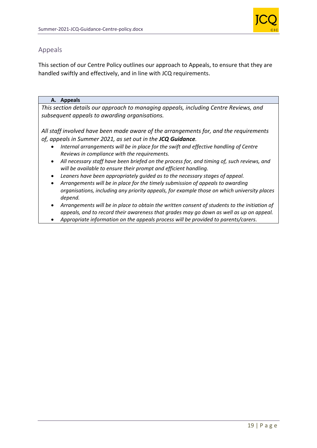

## Appeals

This section of our Centre Policy outlines our approach to Appeals, to ensure that they are handled swiftly and effectively, and in line with JCQ requirements.

#### **A. Appeals**

*This section details our approach to managing appeals, including Centre Reviews, and subsequent appeals to awarding organisations.* 

*All staff involved have been made aware of the arrangements for, and the requirements of, appeals in Summer 2021, as set out in the JCQ Guidance.*

- *Internal arrangements will be in place for the swift and effective handling of Centre Reviews in compliance with the requirements.*
- *All necessary staff have been briefed on the process for, and timing of, such reviews, and will be available to ensure their prompt and efficient handling.*
- *Leaners have been appropriately guided as to the necessary stages of appeal.*
- *Arrangements will be in place for the timely submission of appeals to awarding organisations, including any priority appeals, for example those on which university places depend.*
- *Arrangements will be in place to obtain the written consent of students to the initiation of appeals, and to record their awareness that grades may go down as well as up on appeal.*
- *Appropriate information on the appeals process will be provided to parents/carers*.